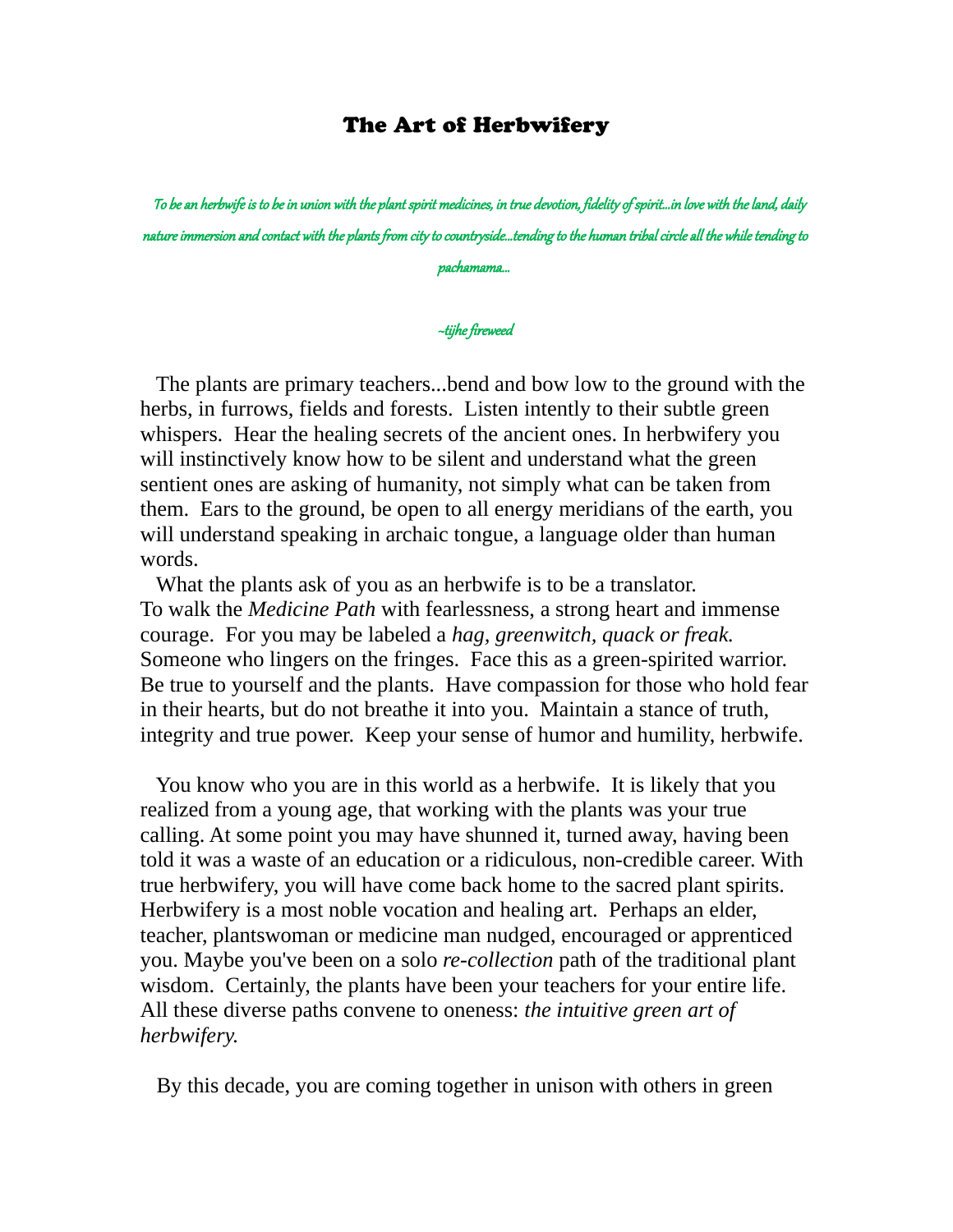## The Art of Herbwifery

 To be an herbwife is to be in union with the plant spirit medicines, in true devotion, fidelity of spirit...in love with the land, daily nature immersion and contact with the plants from city to countryside...tending to the human tribal circle all the while tending to pachamama...

## ~tijhe fireweed

 The plants are primary teachers...bend and bow low to the ground with the herbs, in furrows, fields and forests. Listen intently to their subtle green whispers. Hear the healing secrets of the ancient ones. In herbwifery you will instinctively know how to be silent and understand what the green sentient ones are asking of humanity, not simply what can be taken from them. Ears to the ground, be open to all energy meridians of the earth, you will understand speaking in archaic tongue, a language older than human words.

 What the plants ask of you as an herbwife is to be a translator. To walk the *Medicine Path* with fearlessness, a strong heart and immense courage. For you may be labeled a *hag, greenwitch, quack or freak.*  Someone who lingers on the fringes. Face this as a green-spirited warrior. Be true to yourself and the plants. Have compassion for those who hold fear in their hearts, but do not breathe it into you. Maintain a stance of truth, integrity and true power. Keep your sense of humor and humility, herbwife.

 You know who you are in this world as a herbwife. It is likely that you realized from a young age, that working with the plants was your true calling. At some point you may have shunned it, turned away, having been told it was a waste of an education or a ridiculous, non-credible career. With true herbwifery, you will have come back home to the sacred plant spirits. Herbwifery is a most noble vocation and healing art. Perhaps an elder, teacher, plantswoman or medicine man nudged, encouraged or apprenticed you. Maybe you've been on a solo *re-collection* path of the traditional plant wisdom. Certainly, the plants have been your teachers for your entire life. All these diverse paths convene to oneness: *the intuitive green art of herbwifery.* 

By this decade, you are coming together in unison with others in green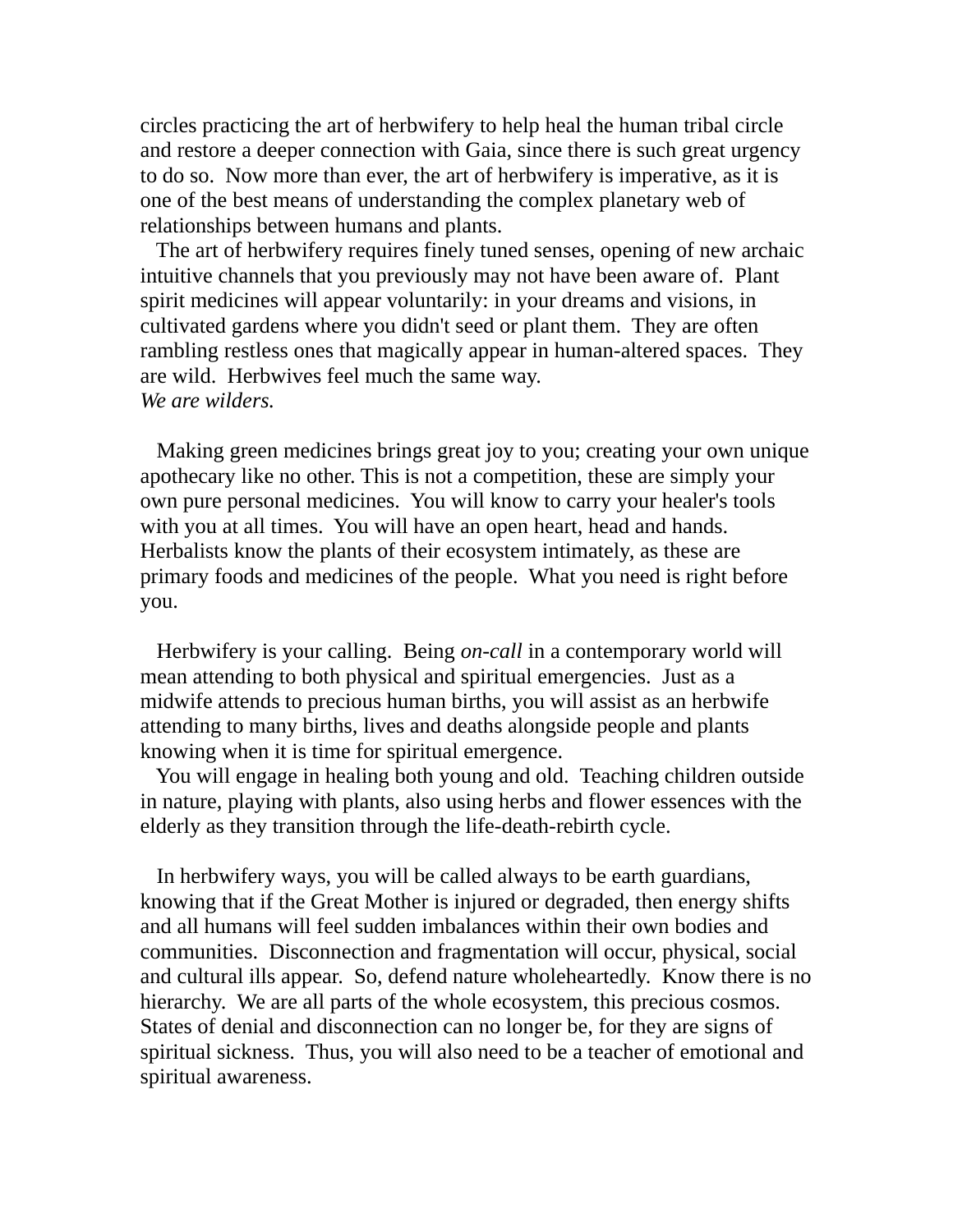circles practicing the art of herbwifery to help heal the human tribal circle and restore a deeper connection with Gaia, since there is such great urgency to do so. Now more than ever, the art of herbwifery is imperative, as it is one of the best means of understanding the complex planetary web of relationships between humans and plants.

 The art of herbwifery requires finely tuned senses, opening of new archaic intuitive channels that you previously may not have been aware of. Plant spirit medicines will appear voluntarily: in your dreams and visions, in cultivated gardens where you didn't seed or plant them. They are often rambling restless ones that magically appear in human-altered spaces. They are wild. Herbwives feel much the same way. *We are wilders.*

 Making green medicines brings great joy to you; creating your own unique apothecary like no other. This is not a competition, these are simply your own pure personal medicines. You will know to carry your healer's tools with you at all times. You will have an open heart, head and hands. Herbalists know the plants of their ecosystem intimately, as these are primary foods and medicines of the people. What you need is right before you.

 Herbwifery is your calling. Being *on-call* in a contemporary world will mean attending to both physical and spiritual emergencies. Just as a midwife attends to precious human births, you will assist as an herbwife attending to many births, lives and deaths alongside people and plants knowing when it is time for spiritual emergence.

 You will engage in healing both young and old. Teaching children outside in nature, playing with plants, also using herbs and flower essences with the elderly as they transition through the life-death-rebirth cycle.

 In herbwifery ways, you will be called always to be earth guardians, knowing that if the Great Mother is injured or degraded, then energy shifts and all humans will feel sudden imbalances within their own bodies and communities. Disconnection and fragmentation will occur, physical, social and cultural ills appear. So, defend nature wholeheartedly. Know there is no hierarchy. We are all parts of the whole ecosystem, this precious cosmos. States of denial and disconnection can no longer be, for they are signs of spiritual sickness. Thus, you will also need to be a teacher of emotional and spiritual awareness.